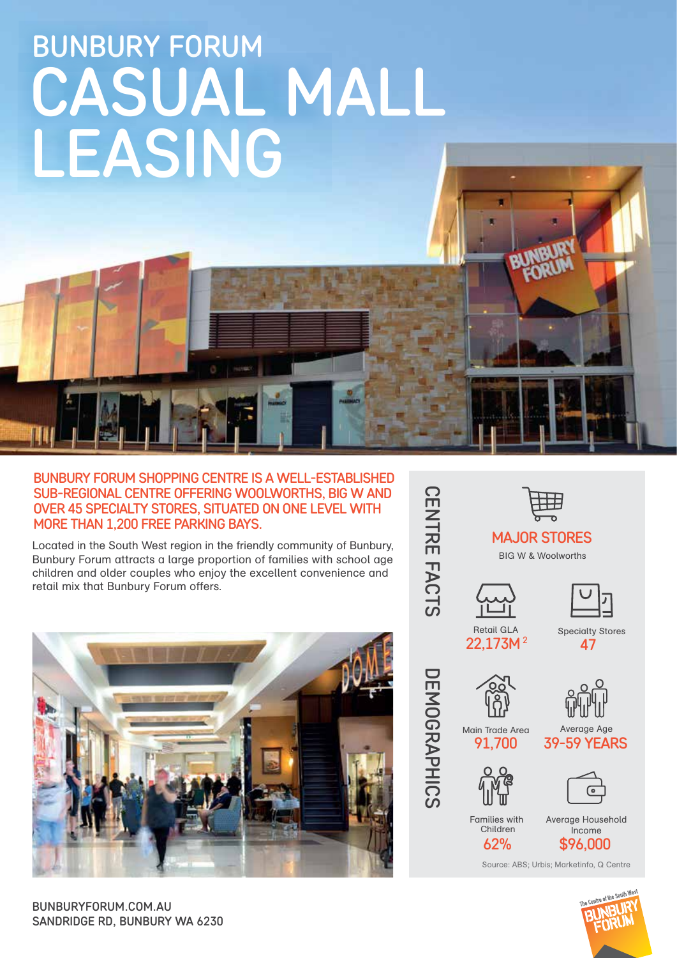# BUNBURY FORUM CASUAL MALL LEASING

#### BUNBURY FORUM SHOPPING CENTRE IS A WELL-ESTABLISHED SUB-REGIONAL CENTRE OFFERING WOOLWORTHS, BIG W AND OVER 45 SPECIALTY STORES, SITUATED ON ONE LEVEL WITH MORE THAN 1,200 FREE PARKING BAYS.

Located in the South West region in the friendly community of Bunbury, Bunbury Forum attracts a large proportion of families with school age children and older couples who enjoy the excellent convenience and retail mix that Bunbury Forum offers.



SANDRIDGE RD, BUNBURY WA 6230 BUNBURYFORUM.COM.AU

**CENTRE**  $\overline{\mathsf{T}}$  $\blacktriangleright$ CTS

DEMOGRAPHICS

**DEMOGRAPHICS** 







Retail GLA 22,173M<sup>2</sup>

Specialty Stores 47



Main Trade Area

91,700 39-59 YEARS Average Age



তি

Families with Children 62%

Average Household Income \$96,000

Source: ABS; Urbis; Marketinfo, Q Centre